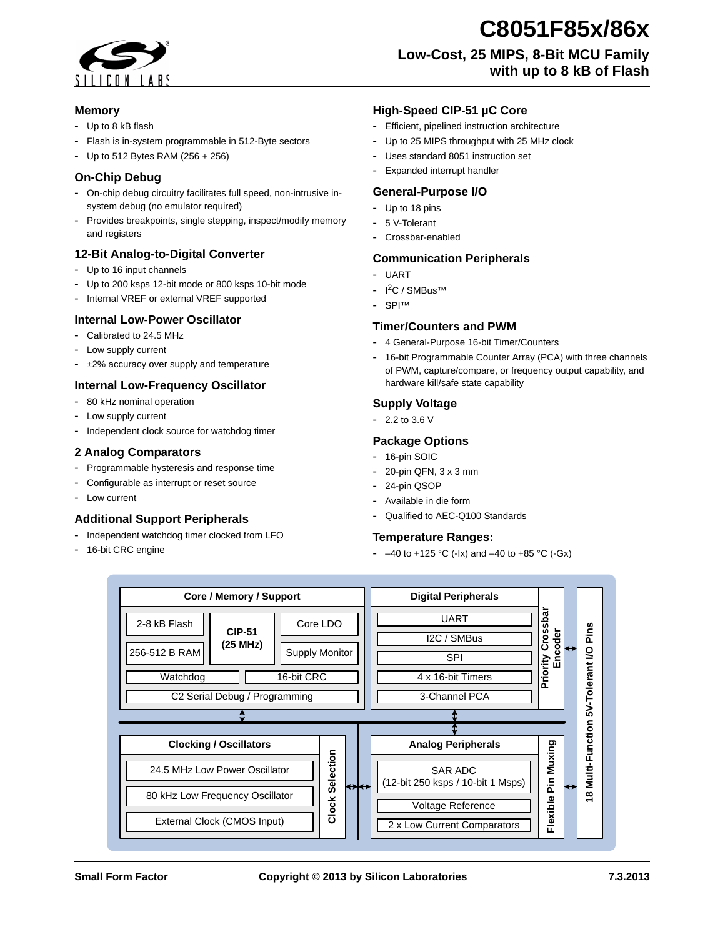

# **Memory**

- **-** Up to 8 kB flash
- **-** Flash is in-system programmable in 512-Byte sectors
- **-** Up to 512 Bytes RAM (256 + 256)

## **On-Chip Debug**

- **-** On-chip debug circuitry facilitates full speed, non-intrusive insystem debug (no emulator required)
- **-** Provides breakpoints, single stepping, inspect/modify memory and registers

## **12-Bit Analog-to-Digital Converter**

- **-** Up to 16 input channels
- **-** Up to 200 ksps 12-bit mode or 800 ksps 10-bit mode
- **-** Internal VREF or external VREF supported

## **Internal Low-Power Oscillator**

- **-** Calibrated to 24.5 MHz
- **-** Low supply current
- **-** ±2% accuracy over supply and temperature

# **Internal Low-Frequency Oscillator**

- **-** 80 kHz nominal operation
- **-** Low supply current
- **-** Independent clock source for watchdog timer

#### **2 Analog Comparators**

- **-** Programmable hysteresis and response time
- **-** Configurable as interrupt or reset source
- **-** Low current

## **Additional Support Peripherals**

- **-** Independent watchdog timer clocked from LFO
- **-** 16-bit CRC engine

## **High-Speed CIP-51 µC Core**

- **-** Efficient, pipelined instruction architecture
- **-** Up to 25 MIPS throughput with 25 MHz clock
- **-** Uses standard 8051 instruction set
- **-** Expanded interrupt handler

#### **General-Purpose I/O**

- **-** Up to 18 pins
- **-** 5 V-Tolerant
- **-** Crossbar-enabled

#### **Communication Peripherals**

- **-** UART
	- **-** I 2C / SMBus™
	- **-** SPI™

#### **Timer/Counters and PWM**

- **-** 4 General-Purpose 16-bit Timer/Counters
- **-** 16-bit Programmable Counter Array (PCA) with three channels of PWM, capture/compare, or frequency output capability, and hardware kill/safe state capability

# **Supply Voltage**

**-** 2.2 to 3.6 V

## **Package Options**

- **-** 16-pin SOIC
- **-** 20-pin QFN, 3 x 3 mm
- **-** 24-pin QSOP
- **-** Available in die form
- **-** Qualified to AEC-Q100 Standards

## **Temperature Ranges:**

**-** –40 to +125 °C (-Ix) and –40 to +85 °C (-Gx)